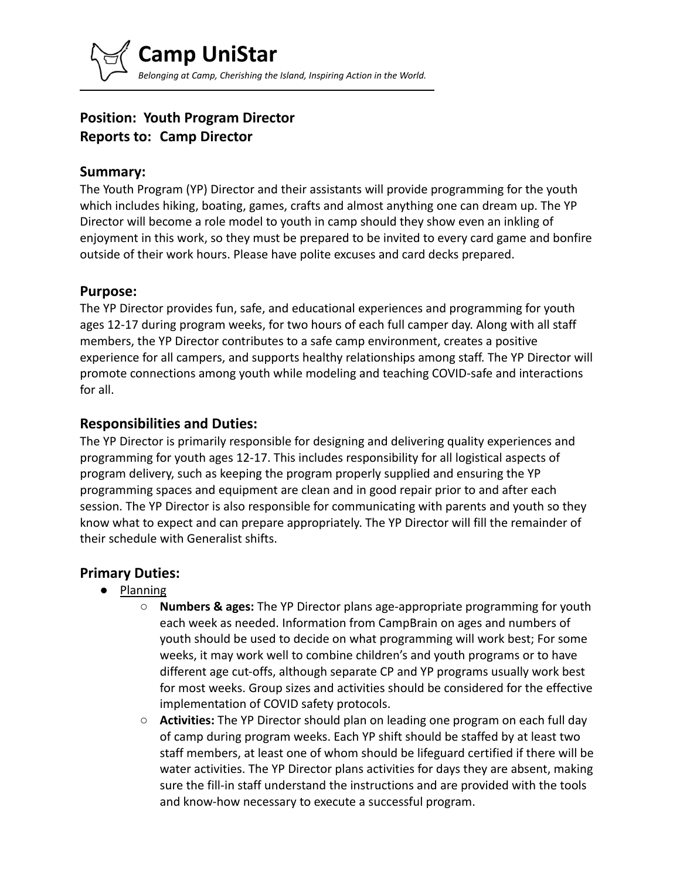# **Position: Youth Program Director Reports to: Camp Director**

### **Summary:**

The Youth Program (YP) Director and their assistants will provide programming for the youth which includes hiking, boating, games, crafts and almost anything one can dream up. The YP Director will become a role model to youth in camp should they show even an inkling of enjoyment in this work, so they must be prepared to be invited to every card game and bonfire outside of their work hours. Please have polite excuses and card decks prepared.

### **Purpose:**

The YP Director provides fun, safe, and educational experiences and programming for youth ages 12-17 during program weeks, for two hours of each full camper day. Along with all staff members, the YP Director contributes to a safe camp environment, creates a positive experience for all campers, and supports healthy relationships among staff. The YP Director will promote connections among youth while modeling and teaching COVID-safe and interactions for all.

### **Responsibilities and Duties:**

The YP Director is primarily responsible for designing and delivering quality experiences and programming for youth ages 12-17. This includes responsibility for all logistical aspects of program delivery, such as keeping the program properly supplied and ensuring the YP programming spaces and equipment are clean and in good repair prior to and after each session. The YP Director is also responsible for communicating with parents and youth so they know what to expect and can prepare appropriately. The YP Director will fill the remainder of their schedule with Generalist shifts.

## **Primary Duties:**

- **Planning** 
	- **Numbers & ages:** The YP Director plans age-appropriate programming for youth each week as needed. Information from CampBrain on ages and numbers of youth should be used to decide on what programming will work best; For some weeks, it may work well to combine children's and youth programs or to have different age cut-offs, although separate CP and YP programs usually work best for most weeks. Group sizes and activities should be considered for the effective implementation of COVID safety protocols.
	- **Activities:** The YP Director should plan on leading one program on each full day of camp during program weeks. Each YP shift should be staffed by at least two staff members, at least one of whom should be lifeguard certified if there will be water activities. The YP Director plans activities for days they are absent, making sure the fill-in staff understand the instructions and are provided with the tools and know-how necessary to execute a successful program.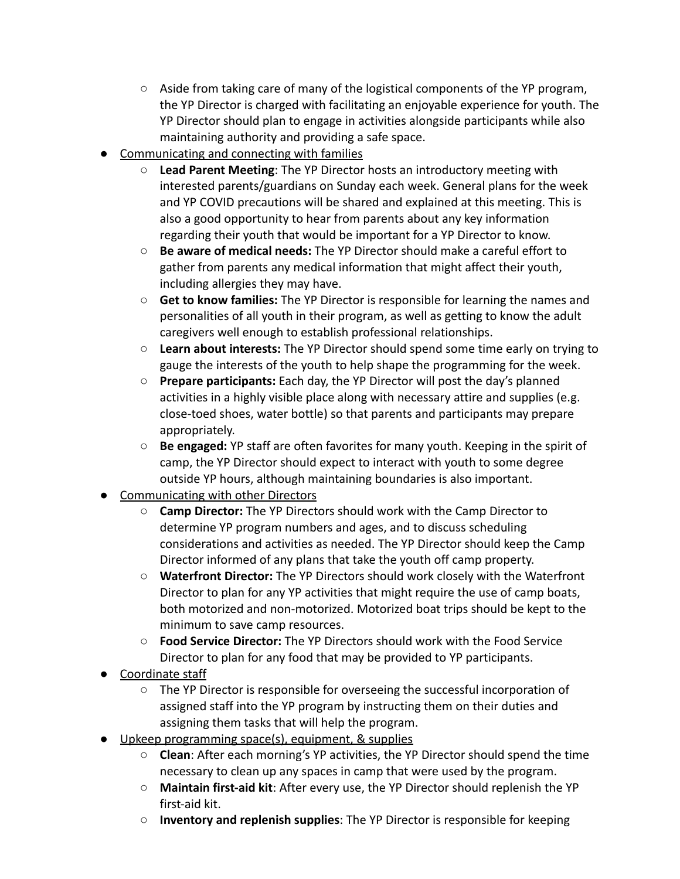- Aside from taking care of many of the logistical components of the YP program, the YP Director is charged with facilitating an enjoyable experience for youth. The YP Director should plan to engage in activities alongside participants while also maintaining authority and providing a safe space.
- Communicating and connecting with families
	- **Lead Parent Meeting**: The YP Director hosts an introductory meeting with interested parents/guardians on Sunday each week. General plans for the week and YP COVID precautions will be shared and explained at this meeting. This is also a good opportunity to hear from parents about any key information regarding their youth that would be important for a YP Director to know.
	- **Be aware of medical needs:** The YP Director should make a careful effort to gather from parents any medical information that might affect their youth, including allergies they may have.
	- **Get to know families:** The YP Director is responsible for learning the names and personalities of all youth in their program, as well as getting to know the adult caregivers well enough to establish professional relationships.
	- **Learn about interests:** The YP Director should spend some time early on trying to gauge the interests of the youth to help shape the programming for the week.
	- **Prepare participants:** Each day, the YP Director will post the day's planned activities in a highly visible place along with necessary attire and supplies (e.g. close-toed shoes, water bottle) so that parents and participants may prepare appropriately.
	- **Be engaged:** YP staff are often favorites for many youth. Keeping in the spirit of camp, the YP Director should expect to interact with youth to some degree outside YP hours, although maintaining boundaries is also important.
- Communicating with other Directors
	- **Camp Director:** The YP Directors should work with the Camp Director to determine YP program numbers and ages, and to discuss scheduling considerations and activities as needed. The YP Director should keep the Camp Director informed of any plans that take the youth off camp property.
	- **Waterfront Director:** The YP Directors should work closely with the Waterfront Director to plan for any YP activities that might require the use of camp boats, both motorized and non-motorized. Motorized boat trips should be kept to the minimum to save camp resources.
	- **Food Service Director:** The YP Directors should work with the Food Service Director to plan for any food that may be provided to YP participants.
- Coordinate staff
	- The YP Director is responsible for overseeing the successful incorporation of assigned staff into the YP program by instructing them on their duties and assigning them tasks that will help the program.
- Upkeep programming space(s), equipment, & supplies
	- **Clean**: After each morning's YP activities, the YP Director should spend the time necessary to clean up any spaces in camp that were used by the program.
	- **Maintain first-aid kit**: After every use, the YP Director should replenish the YP first-aid kit.
	- **Inventory and replenish supplies**: The YP Director is responsible for keeping